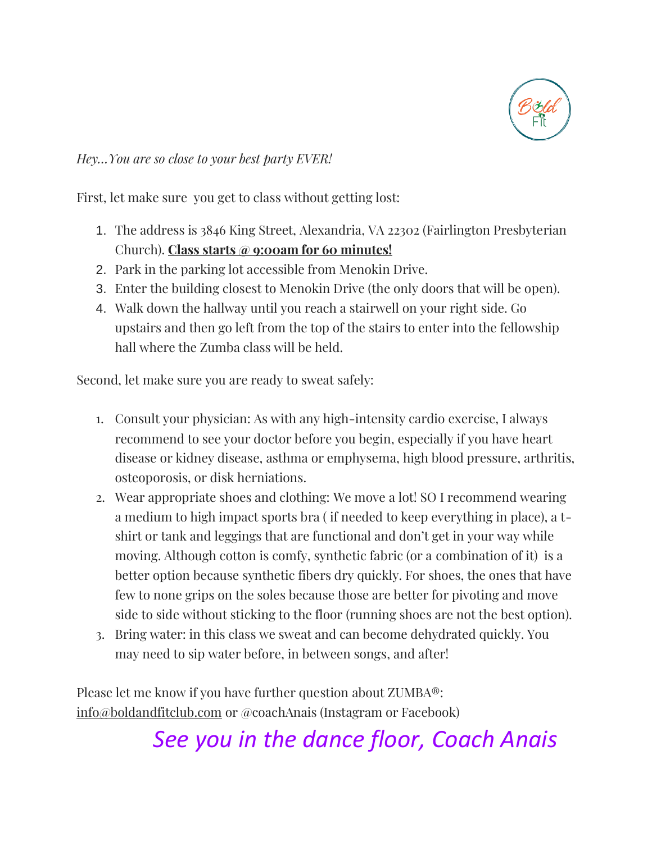

## *Hey…You are so close to your best party EVER!*

First, let make sure you get to class without getting lost:

- 1. The address is 3846 King Street, Alexandria, VA 22302 (Fairlington Presbyterian Church). **Class starts @ 9:00am for 60 minutes!**
- 2. Park in the parking lot accessible from Menokin Drive.
- 3. Enter the building closest to Menokin Drive (the only doors that will be open).
- 4. Walk down the hallway until you reach a stairwell on your right side. Go upstairs and then go left from the top of the stairs to enter into the fellowship hall where the Zumba class will be held.

Second, let make sure you are ready to sweat safely:

- 1. Consult your physician: As with any high-intensity cardio exercise, I always recommend to see your doctor before you begin, especially if you have [heart](https://www.consumerreports.org/health/conditions-and-treatments/heart-health/preventing-heart-disease/prevention-overview.htm)  [disease](https://www.consumerreports.org/health/conditions-and-treatments/heart-health/preventing-heart-disease/prevention-overview.htm) or kidney disease, [asthma](https://www.consumerreports.org/health/conditions-and-treatments/sos-for-allergies/overview/index.htm) or emphysema, [high blood pressure,](https://www.consumerreports.org/health/conditions-and-treatments/heart-health/prevent-heart-disease/lower-blood-pressure.htm) [arthritis,](https://www.consumerreports.org/health/conditions-and-treatments/arthritis/arthritis-therapy/overview/0707_arthritis-therapy_ov.htm) osteoporosis, or [disk herniations.](https://www.consumerreports.org/health/conditions-and-treatments/back-pain/overview/back-pain.htm)
- 2. Wear appropriate shoes and clothing: We move a lot! SO I recommend wearing a medium to high impact sports bra ( if needed to keep everything in place), a tshirt or tank and leggings that are functional and don't get in your way while moving. Although cotton is comfy, synthetic fabric (or a combination of it) is a better option because synthetic fibers dry quickly. For shoes, the ones that have few to none grips on the soles because those are better for pivoting and move side to side without sticking to the floor (running shoes are not the best option).
- 3. Bring water: in this class we sweat and can become dehydrated quickly. You may need to sip water before, in between songs, and after!

Please let me know if you have further question about ZUMBA®: [info@boldandfitclub.com](mailto:info@boldandfitclub.com) or @coachAnais (Instagram or Facebook)

## *See you in the dance floor, Coach Anais*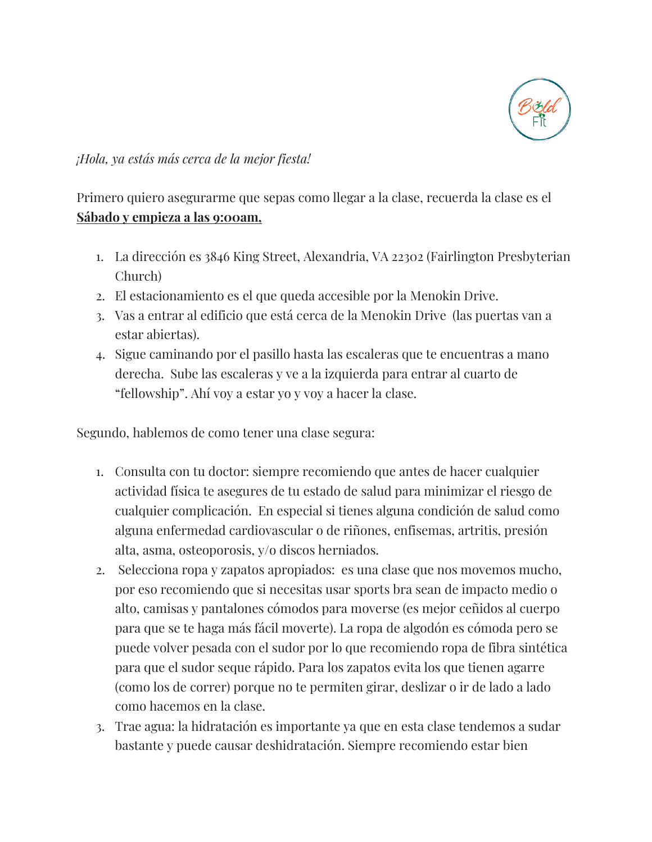

*¡Hola, ya estás más cerca de la mejor fiesta!*

Primero quiero asegurarme que sepas como llegar a la clase, recuerda la clase es el **Sábado y empieza a las 9:00am,**

- 1. La dirección es 3846 King Street, Alexandria, VA 22302 (Fairlington Presbyterian Church)
- 2. El estacionamiento es el que queda accesible por la Menokin Drive.
- 3. Vas a entrar al edificio que está cerca de la Menokin Drive (las puertas van a estar abiertas).
- 4. Sigue caminando por el pasillo hasta las escaleras que te encuentras a mano derecha. Sube las escaleras y ve a la izquierda para entrar al cuarto de "fellowship". Ahí voy a estar yo y voy a hacer la clase.

Segundo, hablemos de como tener una clase segura:

- 1. Consulta con tu doctor: siempre recomiendo que antes de hacer cualquier actividad física te asegures de tu estado de salud para minimizar el riesgo de cualquier complicación. En especial si tienes alguna condición de salud como alguna enfermedad cardiovascular o de riñones, enfisemas, artritis, presión alta, asma, osteoporosis, y/o discos herniados.
- 2. Selecciona ropa y zapatos apropiados: es una clase que nos movemos mucho, por eso recomiendo que si necesitas usar sports bra sean de impacto medio o alto, camisas y pantalones cómodos para moverse (es mejor ceñidos al cuerpo para que se te haga más fácil moverte). La ropa de algodón es cómoda pero se puede volver pesada con el sudor por lo que recomiendo ropa de fibra sintética para que el sudor seque rápido. Para los zapatos evita los que tienen agarre (como los de correr) porque no te permiten girar, deslizar o ir de lado a lado como hacemos en la clase.
- 3. Trae agua: la hidratación es importante ya que en esta clase tendemos a sudar bastante y puede causar deshidratación. Siempre recomiendo estar bien